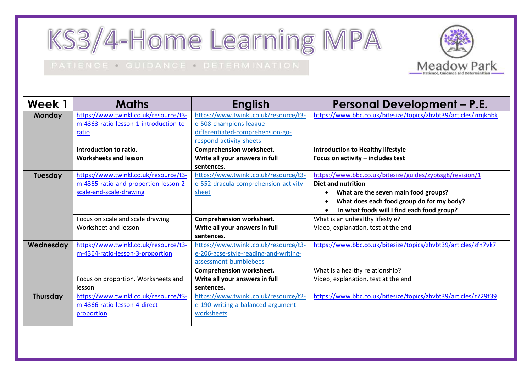KS3/4-Home Learning MPA

## PATIENCE . GUIDANCE . DETERMINATION



| Week 1          | <b>Maths</b>                           | <b>English</b>                        | <b>Personal Development - P.E.</b>                             |
|-----------------|----------------------------------------|---------------------------------------|----------------------------------------------------------------|
| <b>Monday</b>   | https://www.twinkl.co.uk/resource/t3-  | https://www.twinkl.co.uk/resource/t3- | https://www.bbc.co.uk/bitesize/topics/zhvbt39/articles/zmjkhbk |
|                 | m-4363-ratio-lesson-1-introduction-to- | e-508-champions-league-               |                                                                |
|                 | ratio                                  | differentiated-comprehension-go-      |                                                                |
|                 |                                        | respond-activity-sheets               |                                                                |
|                 | Introduction to ratio.                 | <b>Comprehension worksheet.</b>       | <b>Introduction to Healthy lifestyle</b>                       |
|                 | <b>Worksheets and lesson</b>           | Write all your answers in full        | Focus on activity - includes test                              |
|                 |                                        | sentences.                            |                                                                |
| Tuesday         | https://www.twinkl.co.uk/resource/t3-  | https://www.twinkl.co.uk/resource/t3- | https://www.bbc.co.uk/bitesize/guides/zyp6sg8/revision/1       |
|                 | m-4365-ratio-and-proportion-lesson-2-  | e-552-dracula-comprehension-activity- | <b>Diet and nutrition</b>                                      |
|                 | scale-and-scale-drawing                | sheet                                 | What are the seven main food groups?<br>$\bullet$              |
|                 |                                        |                                       | What does each food group do for my body?<br>٠                 |
|                 |                                        |                                       | In what foods will I find each food group?                     |
|                 | Focus on scale and scale drawing       | <b>Comprehension worksheet.</b>       | What is an unhealthy lifestyle?                                |
|                 | Worksheet and lesson                   | Write all your answers in full        | Video, explanation, test at the end.                           |
|                 |                                        | sentences.                            |                                                                |
| Wednesday       | https://www.twinkl.co.uk/resource/t3-  | https://www.twinkl.co.uk/resource/t3- | https://www.bbc.co.uk/bitesize/topics/zhvbt39/articles/zfn7vk7 |
|                 | m-4364-ratio-lesson-3-proportion       | e-206-gcse-style-reading-and-writing- |                                                                |
|                 |                                        | assessment-bumblebees                 |                                                                |
|                 |                                        | <b>Comprehension worksheet.</b>       | What is a healthy relationship?                                |
|                 | Focus on proportion. Worksheets and    | Write all your answers in full        | Video, explanation, test at the end.                           |
|                 | lesson                                 | sentences.                            |                                                                |
| <b>Thursday</b> | https://www.twinkl.co.uk/resource/t3-  | https://www.twinkl.co.uk/resource/t2- | https://www.bbc.co.uk/bitesize/topics/zhvbt39/articles/z729t39 |
|                 | m-4366-ratio-lesson-4-direct-          | e-190-writing-a-balanced-argument-    |                                                                |
|                 | proportion                             | worksheets                            |                                                                |
|                 |                                        |                                       |                                                                |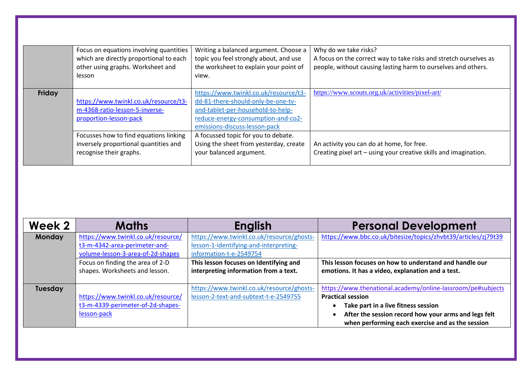|        | Focus on equations involving quantities<br>which are directly proportional to each<br>other using graphs. Worksheet and<br>lesson | Writing a balanced argument. Choose a<br>topic you feel strongly about, and use<br>the worksheet to explain your point of<br>view.                                                      | Why do we take risks?<br>A focus on the correct way to take risks and stretch ourselves as<br>people, without causing lasting harm to ourselves and others. |
|--------|-----------------------------------------------------------------------------------------------------------------------------------|-----------------------------------------------------------------------------------------------------------------------------------------------------------------------------------------|-------------------------------------------------------------------------------------------------------------------------------------------------------------|
| Friday | https://www.twinkl.co.uk/resource/t3-<br>m-4368-ratio-lesson-5-inverse-<br>proportion-lesson-pack                                 | https://www.twinkl.co.uk/resource/t3-<br>dd-81-there-should-only-be-one-tv-<br>and-tablet-per-household-to-help-<br>reduce-energy-consumption-and-co2-<br>emissions-discuss-lesson-pack | https://www.scouts.org.uk/activities/pixel-art/                                                                                                             |
|        | Focusses how to find equations linking<br>inversely proportional quantities and<br>recognise their graphs.                        | A focussed topic for you to debate.<br>Using the sheet from yesterday, create<br>your balanced argument.                                                                                | An activity you can do at home, for free.<br>Creating pixel art - using your creative skills and imagination.                                               |

| Week 2        | <b>Maths</b>                       | <b>English</b>                            | <b>Personal Development</b>                                    |
|---------------|------------------------------------|-------------------------------------------|----------------------------------------------------------------|
| <b>Monday</b> | https://www.twinkl.co.uk/resource/ | https://www.twinkl.co.uk/resource/ghosts- | https://www.bbc.co.uk/bitesize/topics/zhvbt39/articles/zj79t39 |
|               | t3-m-4342-area-perimeter-and-      | lesson-1-identifying-and-interpreting-    |                                                                |
|               | volume-lesson-3-area-of-2d-shapes  | information-t-e-2549754                   |                                                                |
|               | Focus on finding the area of 2-D   | This lesson focuses on Identifying and    | This lesson focuses on how to understand and handle our        |
|               | shapes. Worksheets and lesson.     | interpreting information from a text.     | emotions. It has a video, explanation and a test.              |
|               |                                    |                                           |                                                                |
| Tuesday       |                                    | https://www.twinkl.co.uk/resource/ghosts- | https://www.thenational.academy/online-lassroom/pe#subjects    |
|               | https://www.twinkl.co.uk/resource/ | lesson-2-text-and-subtext-t-e-2549755     | <b>Practical session</b>                                       |
|               | t3-m-4339-perimeter-of-2d-shapes-  |                                           | Take part in a live fitness session                            |
|               | lesson-pack                        |                                           | After the session record how your arms and legs felt           |
|               |                                    |                                           | when performing each exercise and as the session               |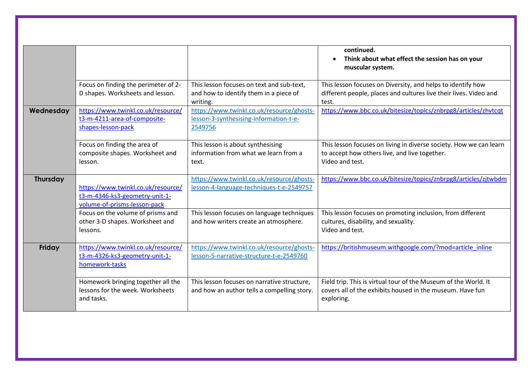|           |                                                                                                      |                                                                                                 | continued.<br>Think about what effect the session has on your<br>$\bullet$<br>muscular system.                                             |
|-----------|------------------------------------------------------------------------------------------------------|-------------------------------------------------------------------------------------------------|--------------------------------------------------------------------------------------------------------------------------------------------|
|           | Focus on finding the perimeter of 2-<br>D shapes. Worksheets and lesson.                             | This lesson focuses on text and sub-text,<br>and how to identify them in a piece of<br>writing. | This lesson focuses on Diversity, and helps to identify how<br>different people, places and cultures live their lives. Video and<br>test.  |
| Wednesday | https://www.twinkl.co.uk/resource/<br>t3-m-4211-area-of-composite-<br>shapes-lesson-pack             | https://www.twinkl.co.uk/resource/ghosts-<br>lesson-3-synthesising-information-t-e-<br>2549756  | https://www.bbc.co.uk/bitesize/topics/znbrpg8/articles/zhvtcqt                                                                             |
|           | Focus on finding the area of<br>composite shapes. Worksheet and<br>lesson.                           | This lesson is about synthesising<br>information from what we learn from a<br>text.             | This lesson focuses on living in diverse society. How we can learn<br>to accept how others live, and live together.<br>Video and test.     |
| Thursday  | https://www.twinkl.co.uk/resource/<br>t3-m-4346-ks3-geometry-unit-1-<br>volume-of-prisms-lesson-pack | https://www.twinkl.co.uk/resource/ghosts-<br>lesson-4-language-techniques-t-e-2549757           | https://www.bbc.co.uk/bitesize/topics/znbrpg8/articles/zjtwbdm                                                                             |
|           | Focus on the volume of prisms and<br>other 3-D shapes. Worksheet and<br>lessons.                     | This lesson focuses on language techniques<br>and how writers create an atmosphere.             | This lesson focuses on promoting inclusion, from different<br>cultures, disability, and sexuality.<br>Video and test.                      |
| Friday    | https://www.twinkl.co.uk/resource/<br>t3-m-4326-ks3-geometry-unit-1-<br>homework-tasks               | https://www.twinkl.co.uk/resource/ghosts-<br>lesson-5-narrative-structure-t-e-2549760           | https://britishmuseum.withgoogle.com/?mod=article_inline                                                                                   |
|           | Homework bringing together all the<br>lessons for the week. Worksheets<br>and tasks.                 | This lesson focuses on narrative structure,<br>and how an author tells a compelling story.      | Field trip. This is virtual tour of the Museum of the World. It<br>covers all of the exhibits housed in the museum. Have fun<br>exploring. |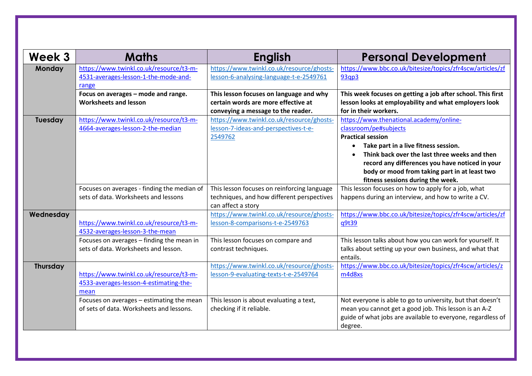| Week 3          | <b>Maths</b>                                                                              | <b>English</b>                                                                                                       | <b>Personal Development</b>                                                                                                                                                                                                                                                                                                                              |
|-----------------|-------------------------------------------------------------------------------------------|----------------------------------------------------------------------------------------------------------------------|----------------------------------------------------------------------------------------------------------------------------------------------------------------------------------------------------------------------------------------------------------------------------------------------------------------------------------------------------------|
| Monday          | https://www.twinkl.co.uk/resource/t3-m-<br>4531-averages-lesson-1-the-mode-and-<br>range  | https://www.twinkl.co.uk/resource/ghosts-<br>lesson-6-analysing-language-t-e-2549761                                 | https://www.bbc.co.uk/bitesize/topics/zfr4scw/articles/zf<br>93qp3                                                                                                                                                                                                                                                                                       |
|                 | Focus on averages - mode and range.<br><b>Worksheets and lesson</b>                       | This lesson focuses on language and why<br>certain words are more effective at<br>conveying a message to the reader. | This week focuses on getting a job after school. This first<br>lesson looks at employability and what employers look<br>for in their workers.                                                                                                                                                                                                            |
| Tuesday         | https://www.twinkl.co.uk/resource/t3-m-<br>4664-averages-lesson-2-the-median              | https://www.twinkl.co.uk/resource/ghosts-<br>lesson-7-ideas-and-perspectives-t-e-<br>2549762                         | https://www.thenational.academy/online-<br>classroom/pe#subjects<br><b>Practical session</b><br>Take part in a live fitness session.<br>$\bullet$<br>Think back over the last three weeks and then<br>$\bullet$<br>record any differences you have noticed in your<br>body or mood from taking part in at least two<br>fitness sessions during the week. |
|                 | Focuses on averages - finding the median of<br>sets of data. Worksheets and lessons       | This lesson focuses on reinforcing language<br>techniques, and how different perspectives<br>can affect a story      | This lesson focuses on how to apply for a job, what<br>happens during an interview, and how to write a CV.                                                                                                                                                                                                                                               |
| Wednesday       | https://www.twinkl.co.uk/resource/t3-m-<br>4532-averages-lesson-3-the-mean                | https://www.twinkl.co.uk/resource/ghosts-<br>lesson-8-comparisons-t-e-2549763                                        | https://www.bbc.co.uk/bitesize/topics/zfr4scw/articles/zf<br>q9t39                                                                                                                                                                                                                                                                                       |
|                 | Focuses on averages - finding the mean in<br>sets of data. Worksheets and lesson.         | This lesson focuses on compare and<br>contrast techniques.                                                           | This lesson talks about how you can work for yourself. It<br>talks about setting up your own business, and what that<br>entails.                                                                                                                                                                                                                         |
| <b>Thursday</b> | https://www.twinkl.co.uk/resource/t3-m-<br>4533-averages-lesson-4-estimating-the-<br>mean | https://www.twinkl.co.uk/resource/ghosts-<br>lesson-9-evaluating-texts-t-e-2549764                                   | https://www.bbc.co.uk/bitesize/topics/zfr4scw/articles/z<br>m4d8xs                                                                                                                                                                                                                                                                                       |
|                 | Focuses on averages - estimating the mean<br>of sets of data. Worksheets and lessons.     | This lesson is about evaluating a text,<br>checking if it reliable.                                                  | Not everyone is able to go to university, but that doesn't<br>mean you cannot get a good job. This lesson is an A-Z<br>guide of what jobs are available to everyone, regardless of<br>degree.                                                                                                                                                            |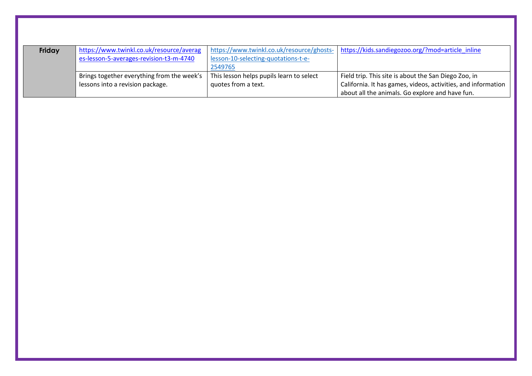| Friday | https://www.twinkl.co.uk/resource/averag   | https://www.twinkl.co.uk/resource/ghosts- | https://kids.sandiegozoo.org/?mod=article inline              |
|--------|--------------------------------------------|-------------------------------------------|---------------------------------------------------------------|
|        | es-lesson-5-averages-revision-t3-m-4740    | lesson-10-selecting-quotations-t-e-       |                                                               |
|        |                                            | 2549765                                   |                                                               |
|        | Brings together everything from the week's | This lesson helps pupils learn to select  | Field trip. This site is about the San Diego Zoo, in          |
|        | lessons into a revision package.           | quotes from a text.                       | California. It has games, videos, activities, and information |
|        |                                            |                                           | about all the animals. Go explore and have fun.               |